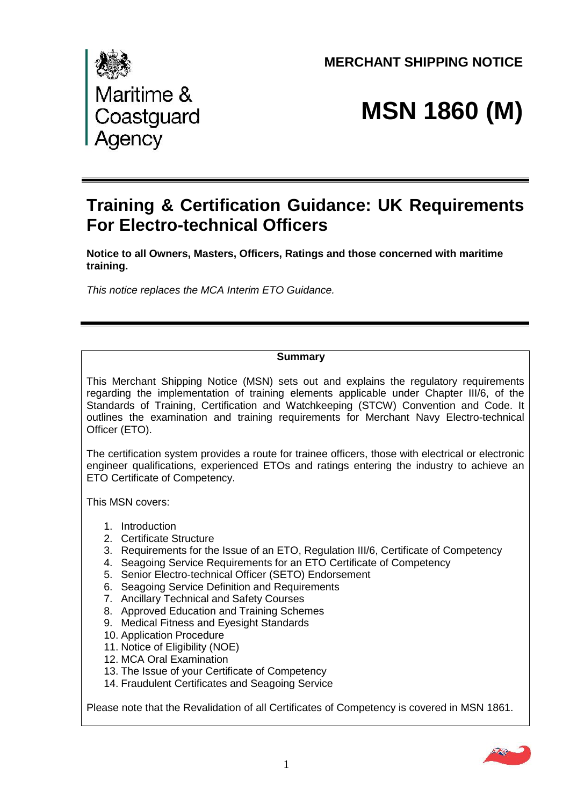**MERCHANT SHIPPING NOTICE** 



# **MSN 1860 (M)**

# **Training & Certification Guidance: UK Requirements For Electro-technical Officers**

 **Notice to all Owners, Masters, Officers, Ratings and those concerned with maritime training.** 

 *This notice replaces the MCA Interim ETO Guidance.* 

# **Summary**

 This Merchant Shipping Notice (MSN) sets out and explains the regulatory requirements regarding the implementation of training elements applicable under Chapter III/6, of the Standards of Training, Certification and Watchkeeping (STCW) Convention and Code. It outlines the examination and training requirements for Merchant Navy Electro-technical Officer (ETO).

 The certification system provides a route for trainee officers, those with electrical or electronic engineer qualifications, experienced ETOs and ratings entering the industry to achieve an ETO Certificate of Competency.

This MSN covers:

- 1. Introduction
- 2. Certificate Structure
- 3. Requirements for the Issue of an ETO, Regulation III/6, Certificate of Competency
- 4. Seagoing Service Requirements for an ETO Certificate of Competency
- 5. Senior Electro-technical Officer (SETO) Endorsement
- 6. Seagoing Service Definition and Requirements
- 7. Ancillary Technical and Safety Courses
- 8. Approved Education and Training Schemes
- 9. Medical Fitness and Eyesight Standards
- 10. Application Procedure
- 11. Notice of Eligibility (NOE)
- 12. MCA Oral Examination
- 13. The Issue of your Certificate of Competency
- 14. Fraudulent Certificates and Seagoing Service

Please note that the Revalidation of all Certificates of Competency is covered in MSN 1861.

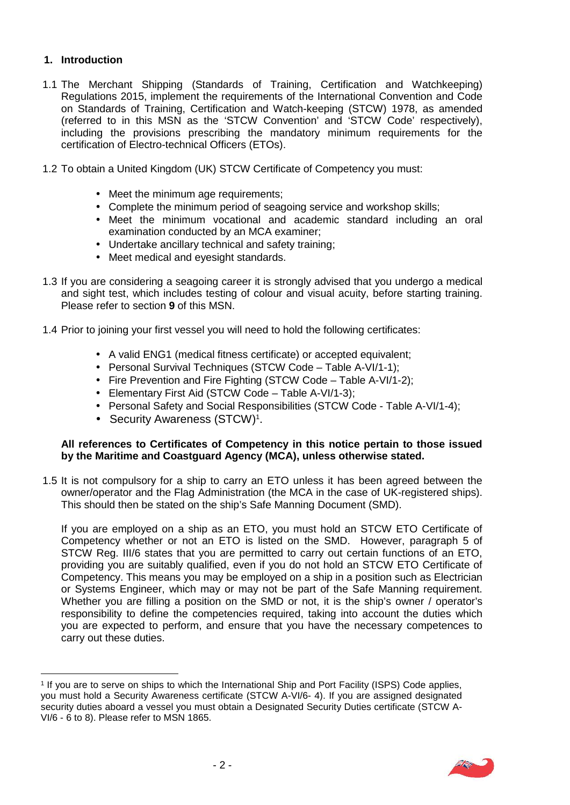## **1. Introduction**

- 1.1 The Merchant Shipping (Standards of Training, Certification and Watchkeeping) Regulations 2015, implement the requirements of the International Convention and Code on Standards of Training, Certification and Watch-keeping (STCW) 1978, as amended (referred to in this MSN as the 'STCW Convention' and 'STCW Code' respectively), including the provisions prescribing the mandatory minimum requirements for the certification of Electro-technical Officers (ETOs).
- 1.2 To obtain a United Kingdom (UK) STCW Certificate of Competency you must:
	- Meet the minimum age requirements;
	- Complete the minimum period of seagoing service and workshop skills;
	- Meet the minimum vocational and academic standard including an oral examination conducted by an MCA examiner;
	- Undertake ancillary technical and safety training;
	- Meet medical and eyesight standards.
- 1.3 If you are considering a seagoing career it is strongly advised that you undergo a medical and sight test, which includes testing of colour and visual acuity, before starting training. Please refer to section **9** of this MSN.
- 1.4 Prior to joining your first vessel you will need to hold the following certificates:
	- A valid ENG1 (medical fitness certificate) or accepted equivalent;
	- Personal Survival Techniques (STCW Code Table A-VI/1-1);
	- Fire Prevention and Fire Fighting (STCW Code Table A-VI/1-2);
	- Elementary First Aid (STCW Code Table A-VI/1-3);
	- Personal Safety and Social Responsibilities (STCW Code Table A-VI/1-4);
	- Security Awareness (STCW)<sup>1</sup>.

#### **All references to Certificates of Competency in this notice pertain to those issued by the Maritime and Coastguard Agency (MCA), unless otherwise stated.**

 1.5 It is not compulsory for a ship to carry an ETO unless it has been agreed between the owner/operator and the Flag Administration (the MCA in the case of UK-registered ships). This should then be stated on the ship's Safe Manning Document (SMD).

 If you are employed on a ship as an ETO, you must hold an STCW ETO Certificate of Competency whether or not an ETO is listed on the SMD. However, paragraph 5 of STCW Reg. III/6 states that you are permitted to carry out certain functions of an ETO, providing you are suitably qualified, even if you do not hold an STCW ETO Certificate of Competency. This means you may be employed on a ship in a position such as Electrician or Systems Engineer, which may or may not be part of the Safe Manning requirement. Whether you are filling a position on the SMD or not, it is the ship's owner / operator's responsibility to define the competencies required, taking into account the duties which you are expected to perform, and ensure that you have the necessary competences to carry out these duties.

 1 If you are to serve on ships to which the International Ship and Port Facility (ISPS) Code applies, you must hold a Security Awareness certificate (STCW A-VI/6- 4). If you are assigned designated security duties aboard a vessel you must obtain a Designated Security Duties certificate (STCW A-VI/6 - 6 to 8). Please refer to MSN 1865.

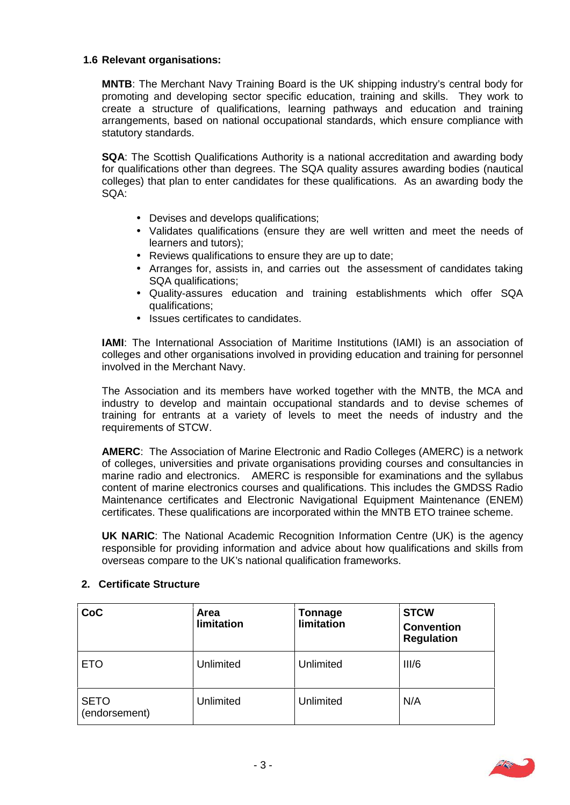#### **1.6 Relevant organisations:**

 **MNTB**: The Merchant Navy Training Board is the UK shipping industry's central body for promoting and developing sector specific education, training and skills. They work to create a structure of qualifications, learning pathways and education and training arrangements, based on national occupational standards, which ensure compliance with statutory standards.

 **SQA**: The Scottish Qualifications Authority is a national accreditation and awarding body for qualifications other than degrees. The SQA quality assures awarding bodies (nautical colleges) that plan to enter candidates for these qualifications. As an awarding body the SQA:

- Devises and develops qualifications;
- Validates qualifications (ensure they are well written and meet the needs of learners and tutors);
- Reviews qualifications to ensure they are up to date;
- Arranges for, assists in, and carries out the assessment of candidates taking SQA qualifications;
- Quality-assures education and training establishments which offer SQA qualifications;
- Issues certificates to candidates.

 **IAMI**: The International Association of Maritime Institutions (IAMI) is an association of colleges and other organisations involved in providing education and training for personnel involved in the Merchant Navy.

 The Association and its members have worked together with the MNTB, the MCA and industry to develop and maintain occupational standards and to devise schemes of training for entrants at a variety of levels to meet the needs of industry and the requirements of STCW.

 **AMERC**: The Association of Marine Electronic and Radio Colleges (AMERC) is a network of colleges, universities and private organisations providing courses and consultancies in marine radio and electronics. AMERC is responsible for examinations and the syllabus content of marine electronics courses and qualifications. This includes the GMDSS Radio Maintenance certificates and Electronic Navigational Equipment Maintenance (ENEM) certificates. These qualifications are incorporated within the MNTB ETO trainee scheme.

 **UK NARIC**: The National Academic Recognition Information Centre (UK) is the agency responsible for providing information and advice about how qualifications and skills from overseas compare to the UK's national qualification frameworks.

| CoC                          | <b>Area</b><br>limitation | <b>Tonnage</b><br>limitation | <b>STCW</b><br><b>Convention</b><br><b>Regulation</b> |
|------------------------------|---------------------------|------------------------------|-------------------------------------------------------|
| <b>ETO</b>                   | Unlimited                 | Unlimited                    | III/6                                                 |
| <b>SETO</b><br>(endorsement) | Unlimited                 | Unlimited                    | N/A                                                   |

# **2. Certificate Structure**

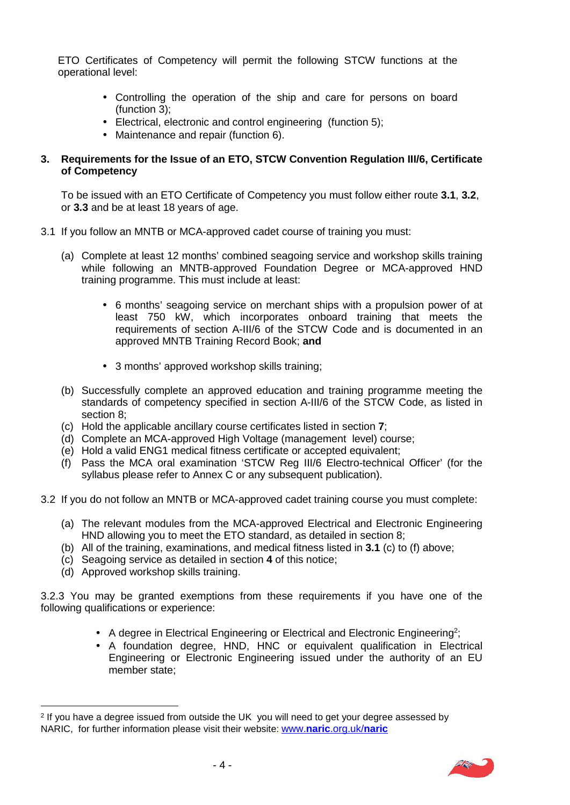ETO Certificates of Competency will permit the following STCW functions at the operational level:

- Controlling the operation of the ship and care for persons on board (function 3);
- Electrical, electronic and control engineering (function 5);
- Maintenance and repair (function 6).

#### **3. Requirements for the Issue of an ETO, STCW Convention Regulation III/6, Certificate of Competency**

 To be issued with an ETO Certificate of Competency you must follow either route **3.1**, **3.2**, or **3.3** and be at least 18 years of age.

- 3.1 If you follow an MNTB or MCA-approved cadet course of training you must:
	- (a) Complete at least 12 months' combined seagoing service and workshop skills training while following an MNTB-approved Foundation Degree or MCA-approved HND training programme. This must include at least:
		- 6 months' seagoing service on merchant ships with a propulsion power of at least 750 kW, which incorporates onboard training that meets the requirements of section A-III/6 of the STCW Code and is documented in an approved MNTB Training Record Book; **and**
		- 3 months' approved workshop skills training;
	- (b) Successfully complete an approved education and training programme meeting the standards of competency specified in section A-III/6 of the STCW Code, as listed in section 8;
	- (c) Hold the applicable ancillary course certificates listed in section **7**;
	- (d) Complete an MCA-approved High Voltage (management level) course;
	- (e) Hold a valid ENG1 medical fitness certificate or accepted equivalent;
	- (f) Pass the MCA oral examination 'STCW Reg III/6 Electro-technical Officer' (for the syllabus please refer to Annex C or any subsequent publication).
- 3.2 If you do not follow an MNTB or MCA-approved cadet training course you must complete:
	- (a) The relevant modules from the MCA-approved Electrical and Electronic Engineering HND allowing you to meet the ETO standard, as detailed in section 8;
	- (b) All of the training, examinations, and medical fitness listed in **3.1** (c) to (f) above;
	- (c) Seagoing service as detailed in section **4** of this notice;
	- (d) Approved workshop skills training.

 3.2.3 You may be granted exemptions from these requirements if you have one of the following qualifications or experience:

- A degree in Electrical Engineering or Electrical and Electronic Engineering<sup>2</sup>;
- A foundation degree, HND, HNC or equivalent qualification in Electrical Engineering or Electronic Engineering issued under the authority of an EU member state;

 $^2$  If you have a degree issued from outside the UK you will need to get your degree assessed by NARIC, for further information please visit their website: www.**naric**.org.uk/**naric** 

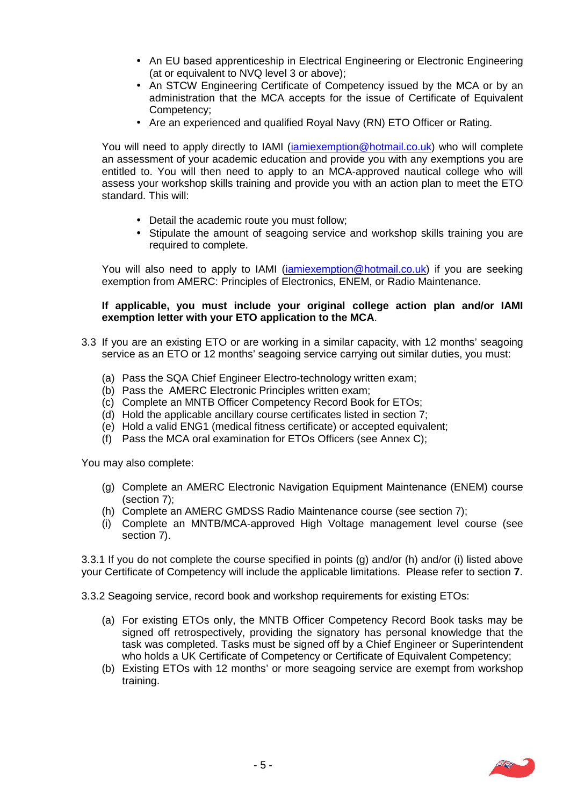- An EU based apprenticeship in Electrical Engineering or Electronic Engineering (at or equivalent to NVQ level 3 or above);
- An STCW Engineering Certificate of Competency issued by the MCA or by an administration that the MCA accepts for the issue of Certificate of Equivalent Competency;
- Are an experienced and qualified Royal Navy (RN) ETO Officer or Rating.

You will need to apply directly to IAMI (iamiexemption@hotmail.co.uk) who will complete an assessment of your academic education and provide you with any exemptions you are entitled to. You will then need to apply to an MCA-approved nautical college who will assess your workshop skills training and provide you with an action plan to meet the ETO standard. This will:

- Detail the academic route you must follow;
- Stipulate the amount of seagoing service and workshop skills training you are required to complete.

You will also need to apply to IAMI (iamiexemption@hotmail.co.uk) if you are seeking exemption from AMERC: Principles of Electronics, ENEM, or Radio Maintenance.

#### **If applicable, you must include your original college action plan and/or IAMI exemption letter with your ETO application to the MCA**.

- 3.3 If you are an existing ETO or are working in a similar capacity, with 12 months' seagoing service as an ETO or 12 months' seagoing service carrying out similar duties, you must:
	- (a) Pass the SQA Chief Engineer Electro-technology written exam;
	- (b) Pass the AMERC Electronic Principles written exam;
	- (c) Complete an MNTB Officer Competency Record Book for ETOs;
	- (d) Hold the applicable ancillary course certificates listed in section 7;
	- (e) Hold a valid ENG1 (medical fitness certificate) or accepted equivalent;
	- (f) Pass the MCA oral examination for ETOs Officers (see Annex C);

You may also complete:

- (g) Complete an AMERC Electronic Navigation Equipment Maintenance (ENEM) course (section 7);
- (h) Complete an AMERC GMDSS Radio Maintenance course (see section 7);
- (i) Complete an MNTB/MCA-approved High Voltage management level course (see section 7).

 3.3.1 If you do not complete the course specified in points (g) and/or (h) and/or (i) listed above your Certificate of Competency will include the applicable limitations. Please refer to section **7**.

3.3.2 Seagoing service, record book and workshop requirements for existing ETOs:

- (a) For existing ETOs only, the MNTB Officer Competency Record Book tasks may be signed off retrospectively, providing the signatory has personal knowledge that the task was completed. Tasks must be signed off by a Chief Engineer or Superintendent who holds a UK Certificate of Competency or Certificate of Equivalent Competency;
- (b) Existing ETOs with 12 months' or more seagoing service are exempt from workshop training.

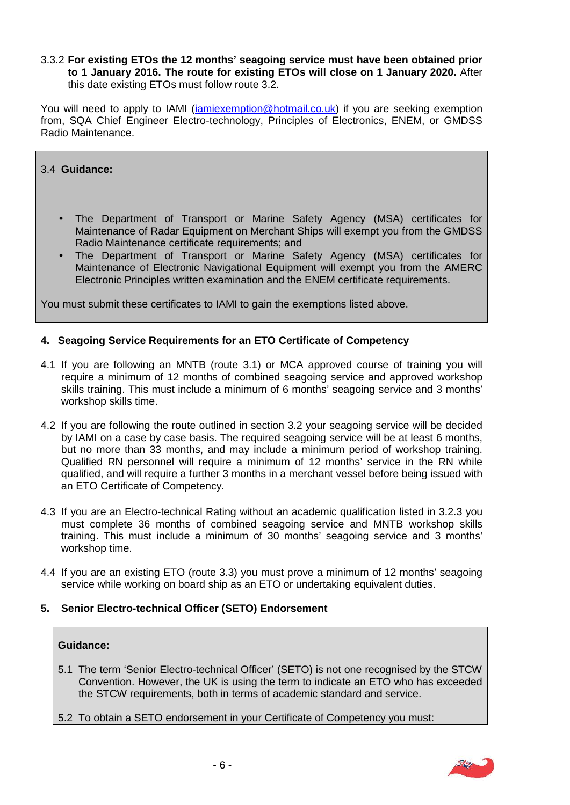#### 3.3.2 **For existing ETOs the 12 months' seagoing service must have been obtained prior to 1 January 2016. The route for existing ETOs will close on 1 January 2020.** After this date existing ETOs must follow route 3.2.

You will need to apply to IAMI (<u>iamiexemption@hotmail.co.uk</u>) if you are seeking exemption from, SQA Chief Engineer Electro-technology, Principles of Electronics, ENEM, or GMDSS Radio Maintenance.

3.4 **Guidance:** 

- Maintenance of Radar Equipment on Merchant Ships will exempt you from the GMDSS Radio Maintenance certificate requirements; and The Department of Transport or Marine Safety Agency (MSA) certificates for
- The Department of Transport or Marine Safety Agency (MSA) certificates for Maintenance of Electronic Navigational Equipment will exempt you from the AMERC Electronic Principles written examination and the ENEM certificate requirements.

You must submit these certificates to IAMI to gain the exemptions listed above.

#### **4. Seagoing Service Requirements for an ETO Certificate of Competency**

- 4.1 If you are following an MNTB (route 3.1) or MCA approved course of training you will require a minimum of 12 months of combined seagoing service and approved workshop skills training. This must include a minimum of 6 months' seagoing service and 3 months' workshop skills time.
- 4.2 If you are following the route outlined in section 3.2 your seagoing service will be decided by IAMI on a case by case basis. The required seagoing service will be at least 6 months, but no more than 33 months, and may include a minimum period of workshop training. Qualified RN personnel will require a minimum of 12 months' service in the RN while qualified, and will require a further 3 months in a merchant vessel before being issued with an ETO Certificate of Competency.
- 4.3 If you are an Electro-technical Rating without an academic qualification listed in 3.2.3 you must complete 36 months of combined seagoing service and MNTB workshop skills training. This must include a minimum of 30 months' seagoing service and 3 months' workshop time.
- 4.4 If you are an existing ETO (route 3.3) you must prove a minimum of 12 months' seagoing service while working on board ship as an ETO or undertaking equivalent duties.
- **5. Senior Electro-technical Officer (SETO) Endorsement**

#### **Guidance:**

- 5.1 The term 'Senior Electro-technical Officer' (SETO) is not one recognised by the STCW Convention. However, the UK is using the term to indicate an ETO who has exceeded the STCW requirements, both in terms of academic standard and service.
- 5.2 To obtain a SETO endorsement in your Certificate of Competency you must:

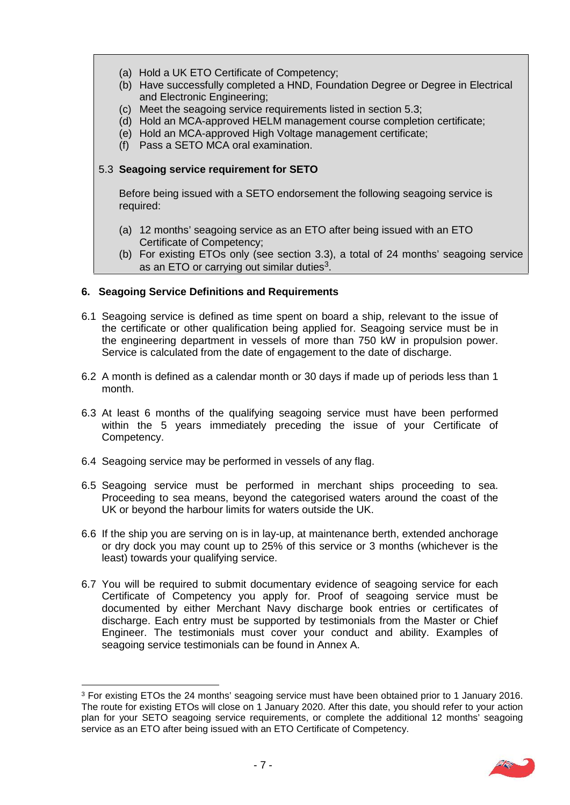- (a) Hold a UK ETO Certificate of Competency;
- (b) Have successfully completed a HND, Foundation Degree or Degree in Electrical and Electronic Engineering;
- (c) Meet the seagoing service requirements listed in section 5.3;
- (d) Hold an MCA-approved HELM management course completion certificate;
- (e) Hold an MCA-approved High Voltage management certificate;
- (f) Pass a SETO MCA oral examination.

#### 5.3 **Seagoing service requirement for SETO**

 Before being issued with a SETO endorsement the following seagoing service is required:

- (a) 12 months' seagoing service as an ETO after being issued with an ETO Certificate of Competency;
- (b) For existing ETOs only (see section 3.3), a total of 24 months' seagoing service as an ETO or carrying out similar duties<sup>3</sup>.

# **6. Seagoing Service Definitions and Requirements**

- 6.1 Seagoing service is defined as time spent on board a ship, relevant to the issue of the certificate or other qualification being applied for. Seagoing service must be in the engineering department in vessels of more than 750 kW in propulsion power. Service is calculated from the date of engagement to the date of discharge.
- 6.2 A month is defined as a calendar month or 30 days if made up of periods less than 1 month.
- 6.3 At least 6 months of the qualifying seagoing service must have been performed within the 5 years immediately preceding the issue of your Certificate of Competency.
- 6.4 Seagoing service may be performed in vessels of any flag.
- 6.5 Seagoing service must be performed in merchant ships proceeding to sea. Proceeding to sea means, beyond the categorised waters around the coast of the UK or beyond the harbour limits for waters outside the UK.
- 6.6 If the ship you are serving on is in lay-up, at maintenance berth, extended anchorage or dry dock you may count up to 25% of this service or 3 months (whichever is the least) towards your qualifying service.
- 6.7 You will be required to submit documentary evidence of seagoing service for each Certificate of Competency you apply for. Proof of seagoing service must be documented by either Merchant Navy discharge book entries or certificates of discharge. Each entry must be supported by testimonials from the Master or Chief Engineer. The testimonials must cover your conduct and ability. Examples of seagoing service testimonials can be found in Annex A.

 $3$  For existing ETOs the 24 months' seagoing service must have been obtained prior to 1 January 2016. The route for existing ETOs will close on 1 January 2020. After this date, you should refer to your action plan for your SETO seagoing service requirements, or complete the additional 12 months' seagoing service as an ETO after being issued with an ETO Certificate of Competency.

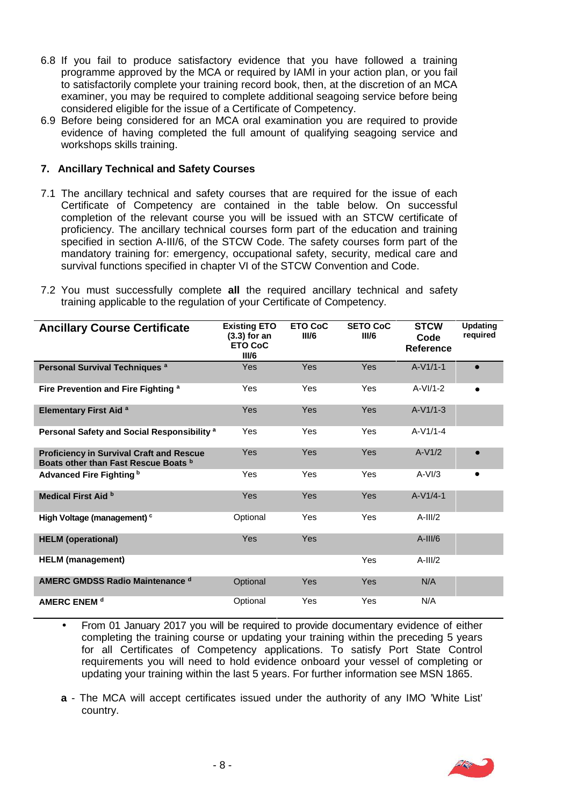- 6.8 If you fail to produce satisfactory evidence that you have followed a training programme approved by the MCA or required by IAMI in your action plan, or you fail to satisfactorily complete your training record book, then, at the discretion of an MCA examiner, you may be required to complete additional seagoing service before being considered eligible for the issue of a Certificate of Competency.
- 6.9 Before being considered for an MCA oral examination you are required to provide evidence of having completed the full amount of qualifying seagoing service and workshops skills training.

### **7. Ancillary Technical and Safety Courses**

- 7.1 The ancillary technical and safety courses that are required for the issue of each Certificate of Competency are contained in the table below. On successful completion of the relevant course you will be issued with an STCW certificate of proficiency. The ancillary technical courses form part of the education and training specified in section A-III/6, of the STCW Code. The safety courses form part of the mandatory training for: emergency, occupational safety, security, medical care and survival functions specified in chapter VI of the STCW Convention and Code.
- 7.2 You must successfully complete **all** the required ancillary technical and safety training applicable to the regulation of your Certificate of Competency.

| <b>Ancillary Course Certificate</b>                                                     | <b>Existing ETO</b><br>$(3.3)$ for an<br><b>ETO CoC</b><br>III/6 | <b>ETO CoC</b><br>III/6 | <b>SETO CoC</b><br>III/6 | <b>STCW</b><br>Code<br><b>Reference</b> | <b>Updating</b><br>required |
|-----------------------------------------------------------------------------------------|------------------------------------------------------------------|-------------------------|--------------------------|-----------------------------------------|-----------------------------|
| Personal Survival Techniques <sup>a</sup>                                               | <b>Yes</b>                                                       | Yes                     | Yes                      | $A-V1/1-1$                              | $\bullet$                   |
| Fire Prevention and Fire Fighting a                                                     | Yes                                                              | Yes                     | Yes                      | $A-VI/1-2$                              |                             |
| <b>Elementary First Aid a</b>                                                           | <b>Yes</b>                                                       | <b>Yes</b>              | Yes                      | $A-V1/1-3$                              |                             |
| Personal Safety and Social Responsibility <sup>a</sup>                                  | <b>Yes</b>                                                       | Yes                     | Yes                      | $A-V1/1-4$                              |                             |
| <b>Proficiency in Survival Craft and Rescue</b><br>Boats other than Fast Rescue Boats b | <b>Yes</b>                                                       | <b>Yes</b>              | Yes                      | $A-V1/2$                                |                             |
| Advanced Fire Fighting b                                                                | <b>Yes</b>                                                       | Yes                     | Yes                      | $A-VI/3$                                | ٠                           |
| Medical First Aid b                                                                     | <b>Yes</b>                                                       | Yes                     | Yes                      | $A-V1/4-1$                              |                             |
| High Voltage (management) c                                                             | Optional                                                         | Yes                     | Yes                      | $A-III/2$                               |                             |
| <b>HELM</b> (operational)                                                               | Yes                                                              | Yes                     |                          | $A$ -III/6                              |                             |
| <b>HELM</b> (management)                                                                |                                                                  |                         | Yes                      | $A-III/2$                               |                             |
| <b>AMERC GMDSS Radio Maintenance d</b>                                                  | Optional                                                         | <b>Yes</b>              | Yes                      | N/A                                     |                             |
| <b>AMERC ENEM d</b>                                                                     | Optional                                                         | Yes                     | Yes                      | N/A                                     |                             |

- From 01 January 2017 you will be required to provide documentary evidence of either completing the training course or updating your training within the preceding 5 years for all Certificates of Competency applications. To satisfy Port State Control requirements you will need to hold evidence onboard your vessel of completing or updating your training within the last 5 years. For further information see MSN 1865.
- **a**  The MCA will accept certificates issued under the authority of any IMO 'White List' country.

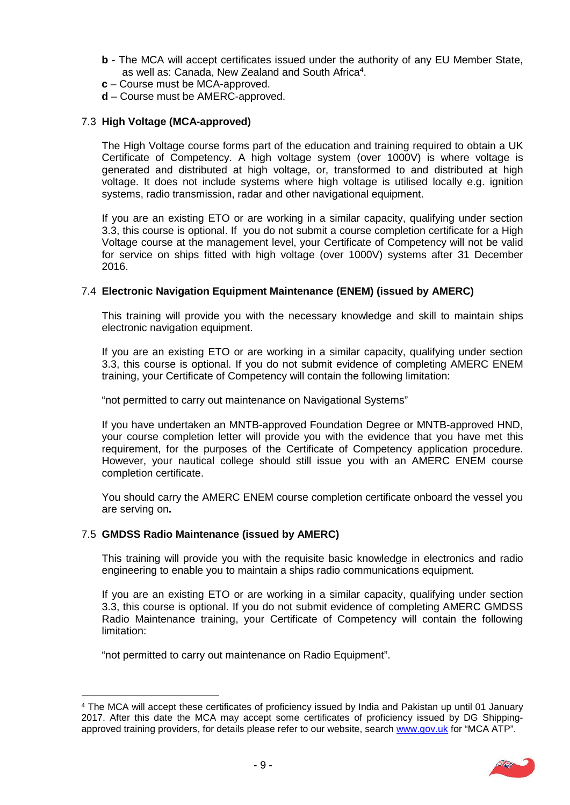- **b**  The MCA will accept certificates issued under the authority of any EU Member State, as well as: Canada, New Zealand and South Africa<sup>4</sup>.
- **c**  Course must be MCA-approved.
- **d**  Course must be AMERC-approved.

# 7.3 **High Voltage (MCA-approved)**

 The High Voltage course forms part of the education and training required to obtain a UK Certificate of Competency. A high voltage system (over 1000V) is where voltage is generated and distributed at high voltage, or, transformed to and distributed at high voltage. It does not include systems where high voltage is utilised locally e.g. ignition systems, radio transmission, radar and other navigational equipment.

 If you are an existing ETO or are working in a similar capacity, qualifying under section 3.3, this course is optional. If you do not submit a course completion certificate for a High Voltage course at the management level, your Certificate of Competency will not be valid for service on ships fitted with high voltage (over 1000V) systems after 31 December 2016.

# 7.4 **Electronic Navigation Equipment Maintenance (ENEM) (issued by AMERC)**

 This training will provide you with the necessary knowledge and skill to maintain ships electronic navigation equipment.

 If you are an existing ETO or are working in a similar capacity, qualifying under section 3.3, this course is optional. If you do not submit evidence of completing AMERC ENEM training, your Certificate of Competency will contain the following limitation:

"not permitted to carry out maintenance on Navigational Systems"

 If you have undertaken an MNTB-approved Foundation Degree or MNTB-approved HND, your course completion letter will provide you with the evidence that you have met this requirement, for the purposes of the Certificate of Competency application procedure. However, your nautical college should still issue you with an AMERC ENEM course completion certificate.

 You should carry the AMERC ENEM course completion certificate onboard the vessel you are serving on**.** 

# 7.5 **GMDSS Radio Maintenance (issued by AMERC)**

 This training will provide you with the requisite basic knowledge in electronics and radio engineering to enable you to maintain a ships radio communications equipment.

 If you are an existing ETO or are working in a similar capacity, qualifying under section 3.3, this course is optional. If you do not submit evidence of completing AMERC GMDSS Radio Maintenance training, your Certificate of Competency will contain the following limitation:

"not permitted to carry out maintenance on Radio Equipment".

 4 The MCA will accept these certificates of proficiency issued by India and Pakistan up until 01 January 2017. After this date the MCA may accept some certificates of proficiency issued by DG Shippingapproved training providers, for details please refer to our website, search www.gov.uk for "MCA ATP".

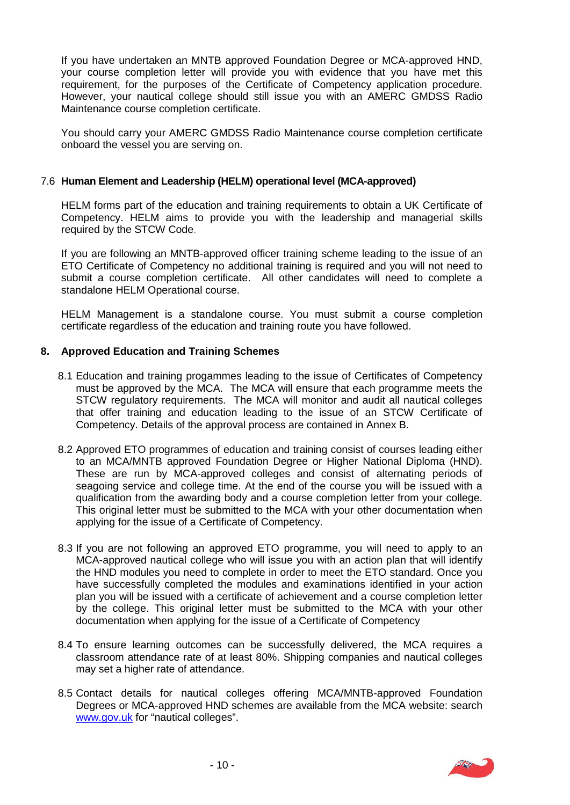If you have undertaken an MNTB approved Foundation Degree or MCA-approved HND, your course completion letter will provide you with evidence that you have met this requirement, for the purposes of the Certificate of Competency application procedure. However, your nautical college should still issue you with an AMERC GMDSS Radio Maintenance course completion certificate.

 You should carry your AMERC GMDSS Radio Maintenance course completion certificate onboard the vessel you are serving on.

# 7.6 **Human Element and Leadership (HELM) operational level (MCA-approved)**

 HELM forms part of the education and training requirements to obtain a UK Certificate of Competency. HELM aims to provide you with the leadership and managerial skills required by the STCW Code.

 If you are following an MNTB-approved officer training scheme leading to the issue of an ETO Certificate of Competency no additional training is required and you will not need to submit a course completion certificate. All other candidates will need to complete a standalone HELM Operational course.

HELM Management is a standalone course. You must submit a course completion certificate regardless of the education and training route you have followed.

### **8. Approved Education and Training Schemes**

- 8.1 Education and training progammes leading to the issue of Certificates of Competency must be approved by the MCA. The MCA will ensure that each programme meets the STCW regulatory requirements. The MCA will monitor and audit all nautical colleges that offer training and education leading to the issue of an STCW Certificate of Competency. Details of the approval process are contained in Annex B.
- to an MCA/MNTB approved Foundation Degree or Higher National Diploma (HND). 8.2 Approved ETO programmes of education and training consist of courses leading either These are run by MCA-approved colleges and consist of alternating periods of seagoing service and college time. At the end of the course you will be issued with a qualification from the awarding body and a course completion letter from your college. This original letter must be submitted to the MCA with your other documentation when applying for the issue of a Certificate of Competency.
- 8.3 If you are not following an approved ETO programme, you will need to apply to an MCA-approved nautical college who will issue you with an action plan that will identify the HND modules you need to complete in order to meet the ETO standard. Once you have successfully completed the modules and examinations identified in your action plan you will be issued with a certificate of achievement and a course completion letter by the college. This original letter must be submitted to the MCA with your other documentation when applying for the issue of a Certificate of Competency
- 8.4 To ensure learning outcomes can be successfully delivered, the MCA requires a classroom attendance rate of at least 80%. Shipping companies and nautical colleges may set a higher rate of attendance.
- 8.5 Contact details for nautical colleges offering MCA/MNTB-approved Foundation Degrees or MCA-approved HND schemes are available from the MCA website: search www.gov.uk</u> for "nautical colleges".

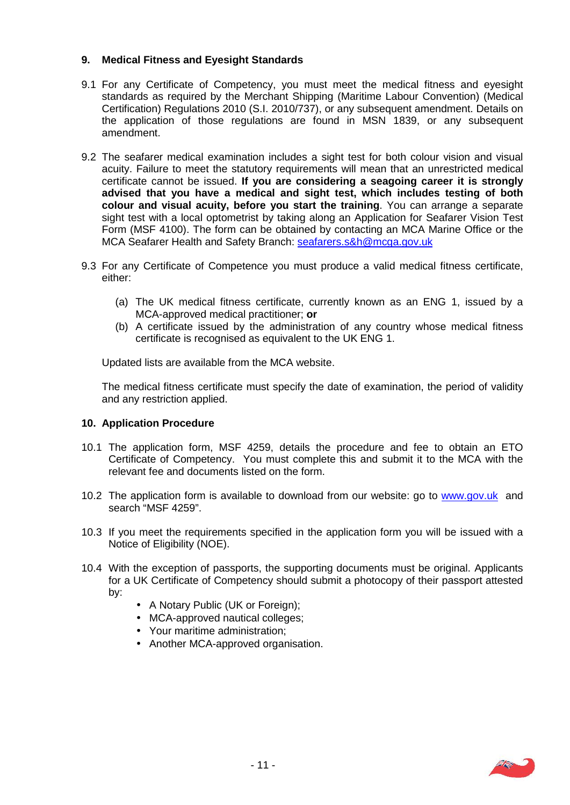# **9. Medical Fitness and Eyesight Standards**

- 9.1 For any Certificate of Competency, you must meet the medical fitness and eyesight standards as required by the Merchant Shipping (Maritime Labour Convention) (Medical Certification) Regulations 2010 (S.I. 2010/737), or any subsequent amendment. Details on the application of those regulations are found in MSN 1839, or any subsequent amendment.
- 9.2 The seafarer medical examination includes a sight test for both colour vision and visual acuity. Failure to meet the statutory requirements will mean that an unrestricted medical certificate cannot be issued. **If you are considering a seagoing career it is strongly advised that you have a medical and sight test, which includes testing of both colour and visual acuity, before you start the training**. You can arrange a separate sight test with a local optometrist by taking along an Application for Seafarer Vision Test Form (MSF 4100). The form can be obtained by contacting an MCA Marine Office or the MCA Seafarer Health and Safety Branch: seafarers.s&h@mcga.gov.uk
- 9.3 For any Certificate of Competence you must produce a valid medical fitness certificate, either:
	- (a) The UK medical fitness certificate, currently known as an ENG 1, issued by a MCA-approved medical practitioner; **or**
	- (b) A certificate issued by the administration of any country whose medical fitness certificate is recognised as equivalent to the UK ENG 1.

Updated lists are available from the MCA website.

The medical fitness certificate must specify the date of examination, the period of validity and any restriction applied.

#### **10. Application Procedure**

- 10.1 The application form, MSF 4259, details the procedure and fee to obtain an ETO Certificate of Competency. You must complete this and submit it to the MCA with the relevant fee and documents listed on the form.
- 10.2 The application form is available to download from our website: go to www.gov.uk and search "MSF 4259".
- 10.3 If you meet the requirements specified in the application form you will be issued with a Notice of Eligibility (NOE).
- 10.4 With the exception of passports, the supporting documents must be original. Applicants for a UK Certificate of Competency should submit a photocopy of their passport attested by:
	- A Notary Public (UK or Foreign);
	- MCA-approved nautical colleges;
	- Your maritime administration;
	- Another MCA-approved organisation.

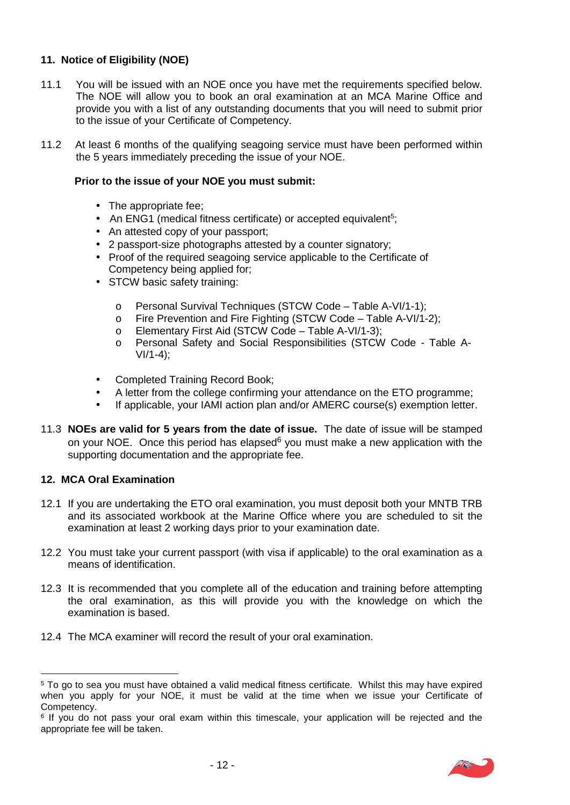# **11. Notice of Eligibility (NOE)**

- 11.1 You will be issued with an NOE once you have met the requirements specified below. The NOE will allow you to book an oral examination at an MCA Marine Office and provide you with a list of any outstanding documents that you will need to submit prior to the issue of your Certificate of Competency.
- 11.2 At least 6 months of the qualifying seagoing service must have been performed within the 5 years immediately preceding the issue of your NOE.

# **Prior to the issue of your NOE you must submit:**

- The appropriate fee:
- An ENG1 (medical fitness certificate) or accepted equivalent<sup>5</sup>;
- An attested copy of your passport;
- 2 passport-size photographs attested by a counter signatory;
- Proof of the required seagoing service applicable to the Certificate of Competency being applied for;
- STCW basic safety training:
	- o Personal Survival Techniques (STCW Code Table A-VI/1-1);
	- o Fire Prevention and Fire Fighting (STCW Code Table A-VI/1-2);
	- o Elementary First Aid (STCW Code Table A-VI/1-3);
	- o Personal Safety and Social Responsibilities (STCW Code Table A-VI/1-4);
- Completed Training Record Book;
- A letter from the college confirming your attendance on the ETO programme;
- If applicable, your IAMI action plan and/or AMERC course(s) exemption letter.
- 11.3 **NOEs are valid for 5 years from the date of issue.** The date of issue will be stamped on your NOE. Once this period has elapsed<sup>6</sup> you must make a new application with the supporting documentation and the appropriate fee.

#### **12. MCA Oral Examination**

- 12.1 If you are undertaking the ETO oral examination, you must deposit both your MNTB TRB and its associated workbook at the Marine Office where you are scheduled to sit the examination at least 2 working days prior to your examination date.
- 12.2 You must take your current passport (with visa if applicable) to the oral examination as a means of identification.
- 12.3 It is recommended that you complete all of the education and training before attempting the oral examination, as this will provide you with the knowledge on which the examination is based.
- 12.4 The MCA examiner will record the result of your oral examination.

 6 If you do not pass your oral exam within this timescale, your application will be rejected and the appropriate fee will be taken.



 $5$  To go to sea you must have obtained a valid medical fitness certificate. Whilst this may have expired when you apply for your NOE, it must be valid at the time when we issue your Certificate of Competency.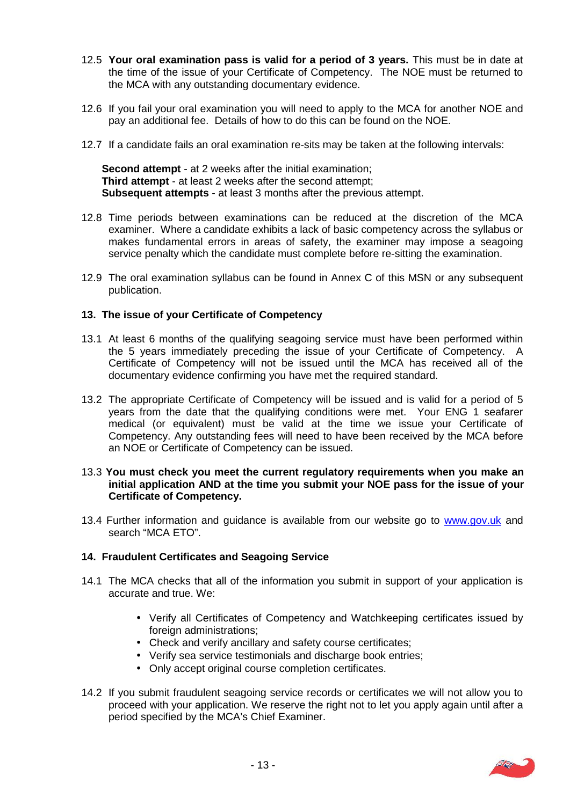- 12.5 **Your oral examination pass is valid for a period of 3 years.** This must be in date at the time of the issue of your Certificate of Competency. The NOE must be returned to the MCA with any outstanding documentary evidence.
- 12.6 If you fail your oral examination you will need to apply to the MCA for another NOE and pay an additional fee. Details of how to do this can be found on the NOE.
- 12.7 If a candidate fails an oral examination re-sits may be taken at the following intervals:

 **Second attempt** - at 2 weeks after the initial examination; **Third attempt** - at least 2 weeks after the second attempt; **Subsequent attempts** - at least 3 months after the previous attempt.

- 12.8 Time periods between examinations can be reduced at the discretion of the MCA examiner. Where a candidate exhibits a lack of basic competency across the syllabus or makes fundamental errors in areas of safety, the examiner may impose a seagoing service penalty which the candidate must complete before re-sitting the examination.
- 12.9 The oral examination syllabus can be found in Annex C of this MSN or any subsequent publication.

# **13. The issue of your Certificate of Competency**

- 13.1 At least 6 months of the qualifying seagoing service must have been performed within the 5 years immediately preceding the issue of your Certificate of Competency. A Certificate of Competency will not be issued until the MCA has received all of the documentary evidence confirming you have met the required standard.
- 13.2 The appropriate Certificate of Competency will be issued and is valid for a period of 5 years from the date that the qualifying conditions were met. Your ENG 1 seafarer medical (or equivalent) must be valid at the time we issue your Certificate of Competency. Any outstanding fees will need to have been received by the MCA before an NOE or Certificate of Competency can be issued.

#### 13.3 **You must check you meet the current regulatory requirements when you make an initial application AND at the time you submit your NOE pass for the issue of your Certificate of Competency.**

13.4 Further information and guidance is available from our website go to www.gov.uk and search "MCA ETO".

#### **14. Fraudulent Certificates and Seagoing Service**

- 14.1 The MCA checks that all of the information you submit in support of your application is accurate and true. We:
	- Verify all Certificates of Competency and Watchkeeping certificates issued by foreign administrations;
	- Check and verify ancillary and safety course certificates;
	- Verify sea service testimonials and discharge book entries;
	- Only accept original course completion certificates.
- 14.2 If you submit fraudulent seagoing service records or certificates we will not allow you to proceed with your application. We reserve the right not to let you apply again until after a period specified by the MCA's Chief Examiner.

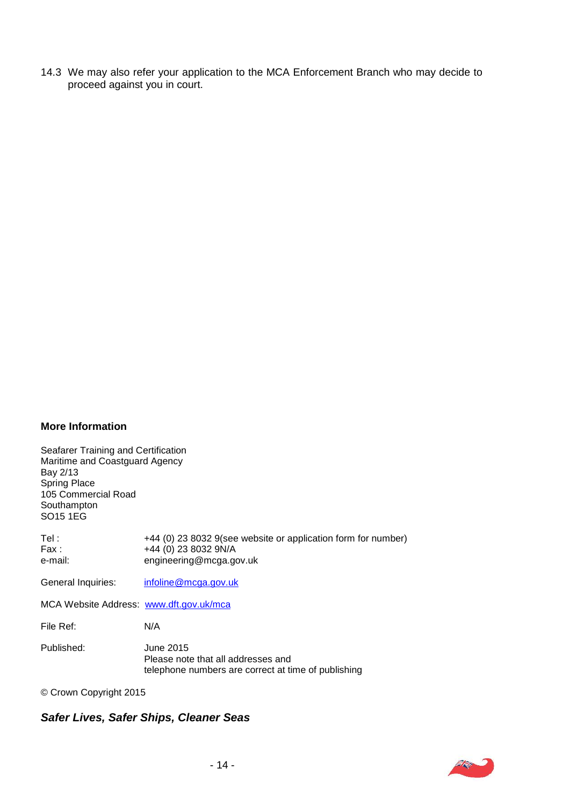14.3 We may also refer your application to the MCA Enforcement Branch who may decide to proceed against you in court.

#### **More Information**

, Maritime and Coastguard Agency Bay 2/13 . telephone numbers are correct at time of publishing © Crown Copyright 2015 Seafarer Training and Certification Spring Place 105 Commercial Road , Southampton , SO15 1EG . Tel :  $+44$  (0) 23 8032 9(see website or application form for number)<br>Fax :  $+44$  (0) 23 8032 9N/A  $\begin{array}{r} \mathsf{Fax}: \\ \mathsf{e}\text{-mail:} \\ \mathsf{e}\text{-mail:} \end{array}$  +44 (0) 23 8032 9N/A engineering@mcga.gov.uk General Inquiries: infoline@mcga.gov.uk MCA Website Address: www.dft.gov.uk/mca File Ref: N/A Published: June 2015 Please note that all addresses and

© Crown Copyright 2015

#### *. Safer Lives, Safer Ships, Cleaner Seas*

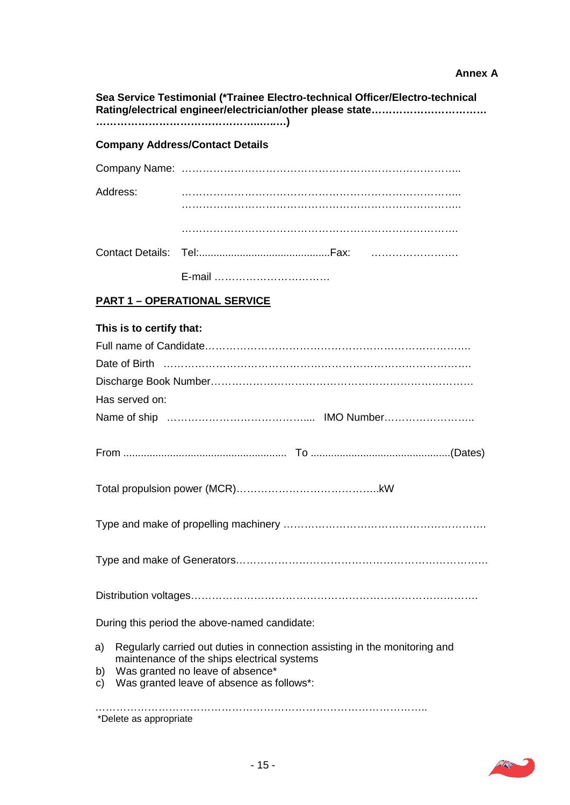# **Annex A**

| Sea Service Testimonial (*Trainee Electro-technical Officer/Electro-technical |                                                                                                                                                                                                            |  |  |  |
|-------------------------------------------------------------------------------|------------------------------------------------------------------------------------------------------------------------------------------------------------------------------------------------------------|--|--|--|
| <b>Company Address/Contact Details</b>                                        |                                                                                                                                                                                                            |  |  |  |
|                                                                               |                                                                                                                                                                                                            |  |  |  |
| Address:                                                                      |                                                                                                                                                                                                            |  |  |  |
|                                                                               |                                                                                                                                                                                                            |  |  |  |
|                                                                               |                                                                                                                                                                                                            |  |  |  |
|                                                                               |                                                                                                                                                                                                            |  |  |  |
|                                                                               | <b>PART 1 - OPERATIONAL SERVICE</b>                                                                                                                                                                        |  |  |  |
| This is to certify that:<br>Has served on:                                    |                                                                                                                                                                                                            |  |  |  |
|                                                                               |                                                                                                                                                                                                            |  |  |  |
|                                                                               |                                                                                                                                                                                                            |  |  |  |
|                                                                               |                                                                                                                                                                                                            |  |  |  |
|                                                                               | During this period the above-named candidate:                                                                                                                                                              |  |  |  |
| a)<br>b)<br>C)                                                                | Regularly carried out duties in connection assisting in the monitoring and<br>maintenance of the ships electrical systems<br>Was granted no leave of absence*<br>Was granted leave of absence as follows*: |  |  |  |
| *Delete as appropriate                                                        |                                                                                                                                                                                                            |  |  |  |

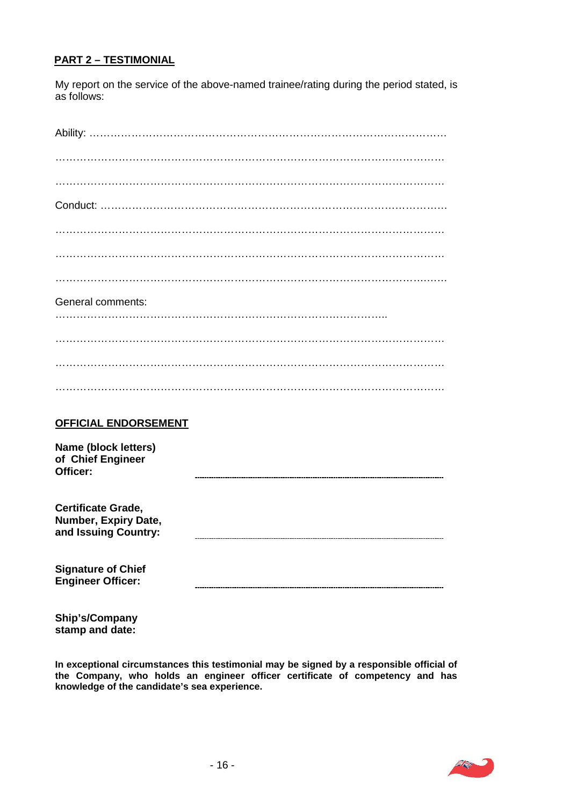## **PART 2 – TESTIMONIAL**

 My report on the service of the above-named trainee/rating during the period stated, is as follows:

| <b>General comments:</b>                                           |  |  |  |  |
|--------------------------------------------------------------------|--|--|--|--|
|                                                                    |  |  |  |  |
|                                                                    |  |  |  |  |
|                                                                    |  |  |  |  |
|                                                                    |  |  |  |  |
| <b>OFFICIAL ENDORSEMENT</b>                                        |  |  |  |  |
| Name (block letters)<br>of Chief Engineer<br>Officer:              |  |  |  |  |
| Certificate Grade,<br>Number, Expiry Date,<br>and Issuing Country: |  |  |  |  |
| <b>Signature of Chief</b><br><b>Engineer Officer:</b>              |  |  |  |  |

 **stamp and date: Ship's/Company**

 **In exceptional circumstances this testimonial may be signed by a responsible official of the Company, who holds an engineer officer certificate of competency and has knowledge of the candidate's sea experience.** 

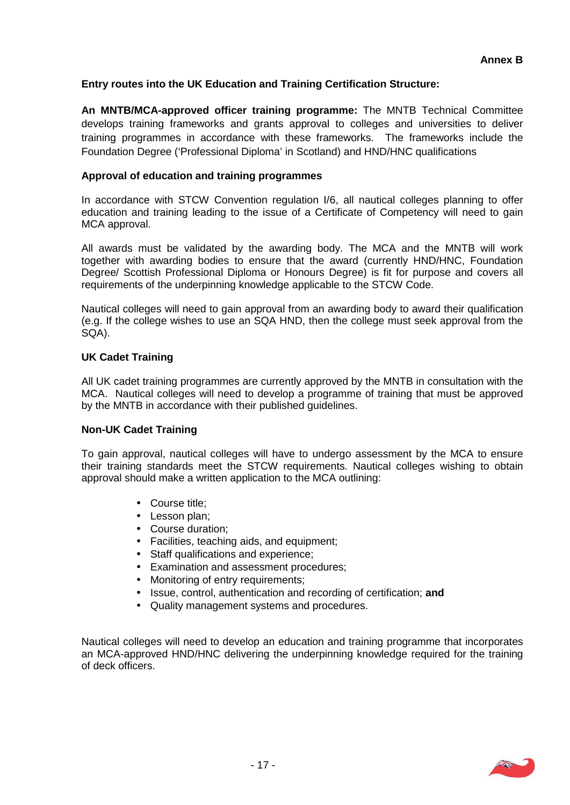# **Entry routes into the UK Education and Training Certification Structure:**

 **An MNTB/MCA-approved officer training programme:** The MNTB Technical Committee develops training frameworks and grants approval to colleges and universities to deliver training programmes in accordance with these frameworks. The frameworks include the Foundation Degree ('Professional Diploma' in Scotland) and HND/HNC qualifications

# **Approval of education and training programmes**

 In accordance with STCW Convention regulation I/6, all nautical colleges planning to offer education and training leading to the issue of a Certificate of Competency will need to gain MCA approval.

 All awards must be validated by the awarding body. The MCA and the MNTB will work together with awarding bodies to ensure that the award (currently HND/HNC, Foundation Degree/ Scottish Professional Diploma or Honours Degree) is fit for purpose and covers all requirements of the underpinning knowledge applicable to the STCW Code.

 Nautical colleges will need to gain approval from an awarding body to award their qualification (e.g. If the college wishes to use an SQA HND, then the college must seek approval from the SQA).

# **UK Cadet Training**

 All UK cadet training programmes are currently approved by the MNTB in consultation with the MCA. Nautical colleges will need to develop a programme of training that must be approved by the MNTB in accordance with their published guidelines.

#### **Non-UK Cadet Training**

 To gain approval, nautical colleges will have to undergo assessment by the MCA to ensure their training standards meet the STCW requirements. Nautical colleges wishing to obtain approval should make a written application to the MCA outlining:

- Course title;
- Lesson plan;
- Course duration:
- Facilities, teaching aids, and equipment;
- Staff qualifications and experience;
- Examination and assessment procedures;
- Monitoring of entry requirements;
- Issue, control, authentication and recording of certification; **and**
- Quality management systems and procedures.

 Nautical colleges will need to develop an education and training programme that incorporates an MCA-approved HND/HNC delivering the underpinning knowledge required for the training of deck officers.

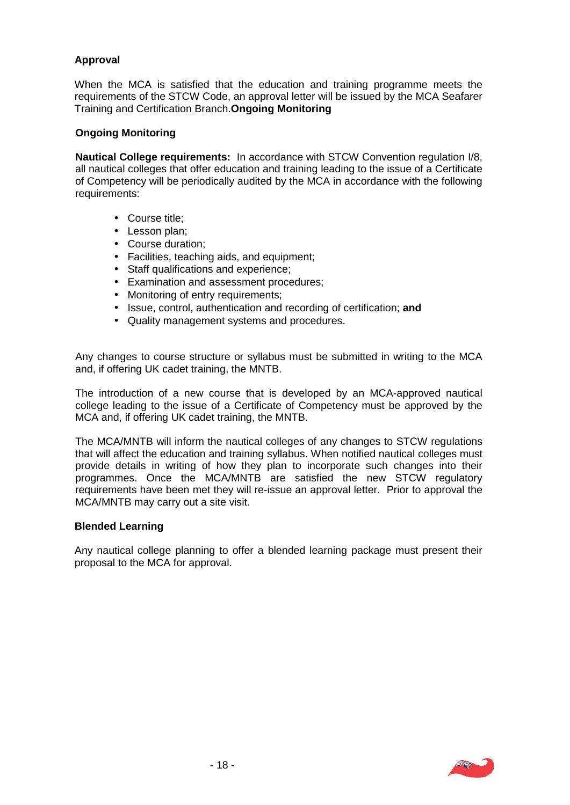# **Approval**

 When the MCA is satisfied that the education and training programme meets the requirements of the STCW Code, an approval letter will be issued by the MCA Seafarer Training and Certification Branch.**Ongoing Monitoring** 

#### **Ongoing Monitoring**

 **Nautical College requirements:** In accordance with STCW Convention regulation I/8, all nautical colleges that offer education and training leading to the issue of a Certificate of Competency will be periodically audited by the MCA in accordance with the following requirements:

- Course title:
- Lesson plan:
- Course duration;
- Facilities, teaching aids, and equipment;
- Staff qualifications and experience;
- Examination and assessment procedures;
- Monitoring of entry requirements;
- Issue, control, authentication and recording of certification; **and**
- Quality management systems and procedures.

 Any changes to course structure or syllabus must be submitted in writing to the MCA and, if offering UK cadet training, the MNTB.

 The introduction of a new course that is developed by an MCA-approved nautical college leading to the issue of a Certificate of Competency must be approved by the MCA and, if offering UK cadet training, the MNTB.

 The MCA/MNTB will inform the nautical colleges of any changes to STCW regulations that will affect the education and training syllabus. When notified nautical colleges must provide details in writing of how they plan to incorporate such changes into their programmes. Once the MCA/MNTB are satisfied the new STCW regulatory requirements have been met they will re-issue an approval letter. Prior to approval the MCA/MNTB may carry out a site visit.

#### **Blended Learning**

 Any nautical college planning to offer a blended learning package must present their proposal to the MCA for approval.

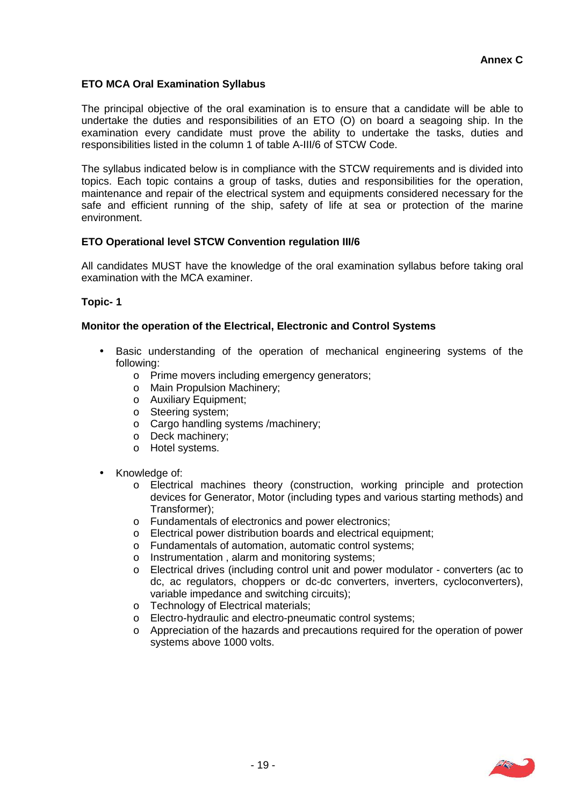# **ETO MCA Oral Examination Syllabus**

 The principal objective of the oral examination is to ensure that a candidate will be able to undertake the duties and responsibilities of an ETO (O) on board a seagoing ship. In the examination every candidate must prove the ability to undertake the tasks, duties and responsibilities listed in the column 1 of table A-III/6 of STCW Code.

 The syllabus indicated below is in compliance with the STCW requirements and is divided into topics. Each topic contains a group of tasks, duties and responsibilities for the operation, maintenance and repair of the electrical system and equipments considered necessary for the safe and efficient running of the ship, safety of life at sea or protection of the marine environment.

# **ETO Operational level STCW Convention regulation III/6**

 All candidates MUST have the knowledge of the oral examination syllabus before taking oral examination with the MCA examiner.

#### **Topic- 1**

#### **Monitor the operation of the Electrical, Electronic and Control Systems**

- Basic understanding of the operation of mechanical engineering systems of the following:
	- o Prime movers including emergency generators;
	- o Main Propulsion Machinery;
	- o Auxiliary Equipment;
	- o Steering system;
	- o Cargo handling systems /machinery;
	- o Deck machinery;
	- o Hotel systems.
- Knowledge of:
	- o Electrical machines theory (construction, working principle and protection devices for Generator, Motor (including types and various starting methods) and Transformer);
	- o Fundamentals of electronics and power electronics;
	- o Electrical power distribution boards and electrical equipment;
	- o Fundamentals of automation, automatic control systems;
	- o Instrumentation , alarm and monitoring systems;
	- o Electrical drives (including control unit and power modulator converters (ac to dc, ac regulators, choppers or dc-dc converters, inverters, cycloconverters), variable impedance and switching circuits);
	- o Technology of Electrical materials;
	- o Electro-hydraulic and electro-pneumatic control systems;
	- o Appreciation of the hazards and precautions required for the operation of power systems above 1000 volts.

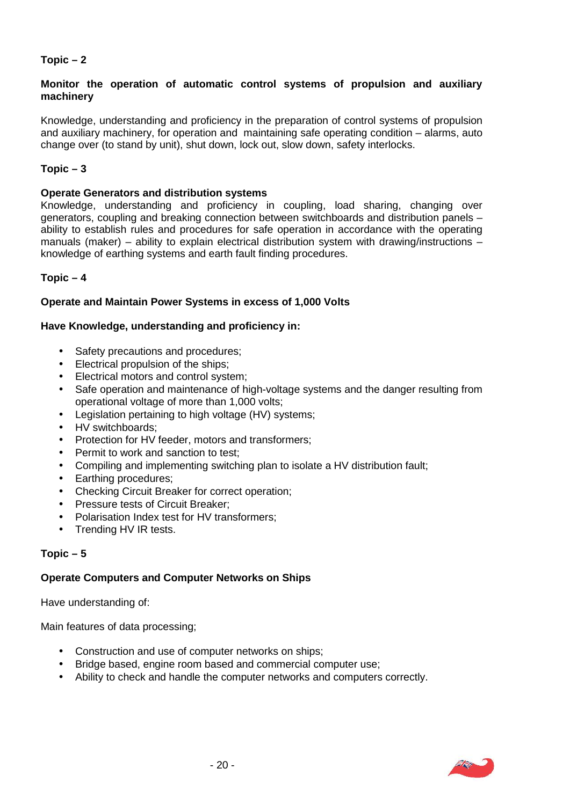# **Topic – 2**

#### **Monitor the operation of automatic control systems of propulsion and auxiliary machinery**

 Knowledge, understanding and proficiency in the preparation of control systems of propulsion and auxiliary machinery, for operation and maintaining safe operating condition – alarms, auto change over (to stand by unit), shut down, lock out, slow down, safety interlocks.

#### **Topic – 3**

#### **Operate Generators and distribution systems**

 Knowledge, understanding and proficiency in coupling, load sharing, changing over generators, coupling and breaking connection between switchboards and distribution panels – ability to establish rules and procedures for safe operation in accordance with the operating manuals (maker) – ability to explain electrical distribution system with drawing/instructions – knowledge of earthing systems and earth fault finding procedures.

#### **Topic – 4**

#### **Operate and Maintain Power Systems in excess of 1,000 Volts**

# **Have Knowledge, understanding and proficiency in:**

- Safety precautions and procedures;
- Electrical propulsion of the ships;
- Electrical motors and control system;
- Safe operation and maintenance of high-voltage systems and the danger resulting from operational voltage of more than 1,000 volts;
- Legislation pertaining to high voltage (HV) systems;
- HV switchboards;
- Protection for HV feeder, motors and transformers;
- Permit to work and sanction to test;
- Compiling and implementing switching plan to isolate a HV distribution fault;
- Earthing procedures;
- Checking Circuit Breaker for correct operation;
- Pressure tests of Circuit Breaker;
- Polarisation Index test for HV transformers;
- Trending HV IR tests.

#### **Topic – 5**

# **Operate Computers and Computer Networks on Ships**

Have understanding of:

Main features of data processing;

- Construction and use of computer networks on ships;
- Bridge based, engine room based and commercial computer use;
- Ability to check and handle the computer networks and computers correctly.

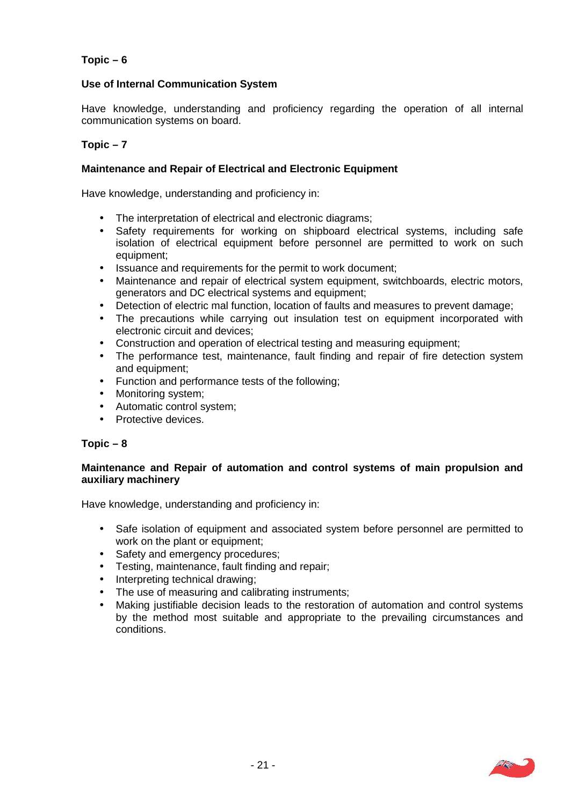# **Topic – 6**

# **Use of Internal Communication System**

 Have knowledge, understanding and proficiency regarding the operation of all internal communication systems on board.

#### **Topic – 7**

#### **Maintenance and Repair of Electrical and Electronic Equipment**

Have knowledge, understanding and proficiency in:

- The interpretation of electrical and electronic diagrams;
- Safety requirements for working on shipboard electrical systems, including safe isolation of electrical equipment before personnel are permitted to work on such equipment;
- Issuance and requirements for the permit to work document;
- Maintenance and repair of electrical system equipment, switchboards, electric motors, generators and DC electrical systems and equipment;
- Detection of electric mal function, location of faults and measures to prevent damage;
- The precautions while carrying out insulation test on equipment incorporated with electronic circuit and devices;
- Construction and operation of electrical testing and measuring equipment;
- The performance test, maintenance, fault finding and repair of fire detection system and equipment;
- Function and performance tests of the following;
- Monitoring system;
- Automatic control system;
- **•** Protective devices

#### **Topic – 8**

#### **Maintenance and Repair of automation and control systems of main propulsion and auxiliary machinery**

Have knowledge, understanding and proficiency in:

- Safe isolation of equipment and associated system before personnel are permitted to work on the plant or equipment;
- Safety and emergency procedures;
- Testing, maintenance, fault finding and repair;
- Interpreting technical drawing;
- The use of measuring and calibrating instruments;
- Making justifiable decision leads to the restoration of automation and control systems by the method most suitable and appropriate to the prevailing circumstances and conditions.

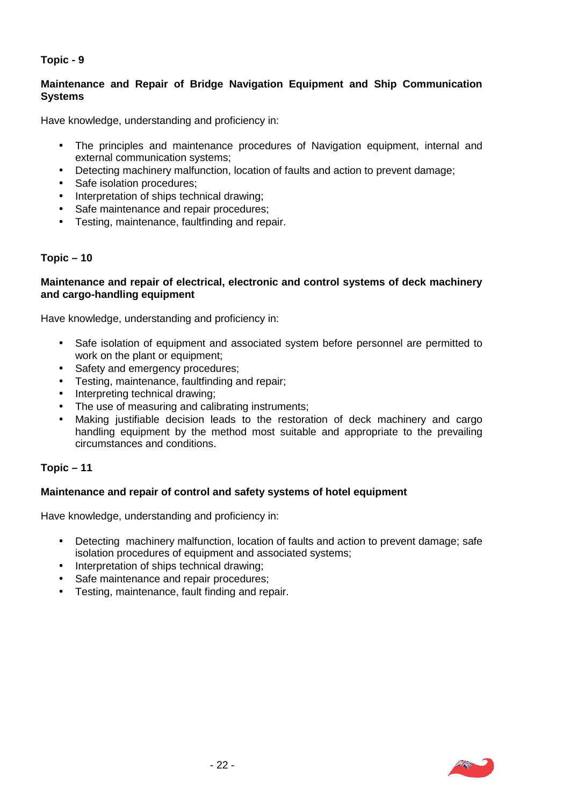# **Topic - 9**

# **Maintenance and Repair of Bridge Navigation Equipment and Ship Communication Systems**

Have knowledge, understanding and proficiency in:

- The principles and maintenance procedures of Navigation equipment, internal and external communication systems;
- Detecting machinery malfunction, location of faults and action to prevent damage;
- Safe isolation procedures;
- Interpretation of ships technical drawing;
- Safe maintenance and repair procedures;
- Testing, maintenance, faultfinding and repair.

# **Topic – 10**

#### **Maintenance and repair of electrical, electronic and control systems of deck machinery and cargo-handling equipment**

Have knowledge, understanding and proficiency in:

- Safe isolation of equipment and associated system before personnel are permitted to work on the plant or equipment;
- Safety and emergency procedures;
- Testing, maintenance, faultfinding and repair;
- Interpreting technical drawing;
- The use of measuring and calibrating instruments;
- Making justifiable decision leads to the restoration of deck machinery and cargo handling equipment by the method most suitable and appropriate to the prevailing circumstances and conditions.

# **Topic – 11**

# **Maintenance and repair of control and safety systems of hotel equipment**

Have knowledge, understanding and proficiency in:

- Detecting machinery malfunction, location of faults and action to prevent damage; safe isolation procedures of equipment and associated systems;
- Interpretation of ships technical drawing;
- Safe maintenance and repair procedures;
- Testing, maintenance, fault finding and repair.

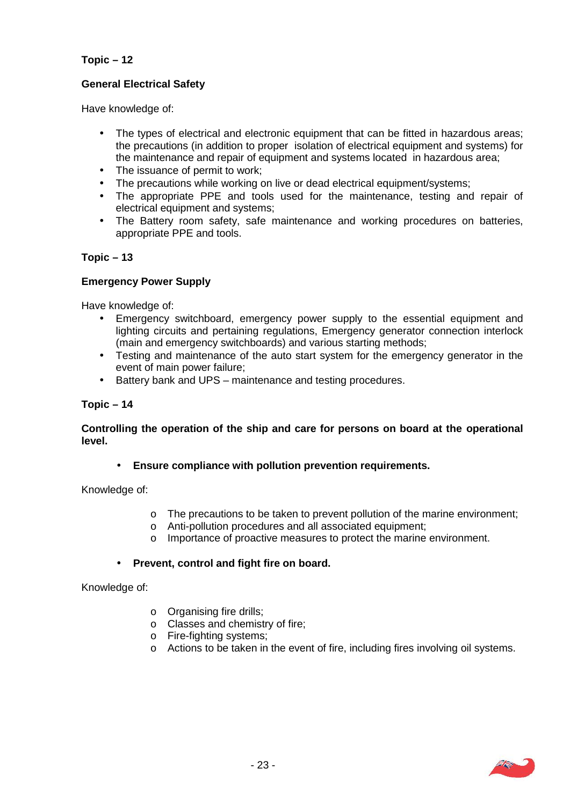# **Topic – 12**

# **General Electrical Safety**

Have knowledge of:

- The types of electrical and electronic equipment that can be fitted in hazardous areas; the precautions (in addition to proper isolation of electrical equipment and systems) for the maintenance and repair of equipment and systems located in hazardous area;
- The issuance of permit to work;
- The precautions while working on live or dead electrical equipment/systems;
- The appropriate PPE and tools used for the maintenance, testing and repair of electrical equipment and systems;
- The Battery room safety, safe maintenance and working procedures on batteries, appropriate PPE and tools.

#### **Topic – 13**

#### **Emergency Power Supply**

Have knowledge of:

- Emergency switchboard, emergency power supply to the essential equipment and lighting circuits and pertaining regulations, Emergency generator connection interlock (main and emergency switchboards) and various starting methods;
- Testing and maintenance of the auto start system for the emergency generator in the event of main power failure;
- Battery bank and UPS maintenance and testing procedures.

#### **Topic – 14**

#### **Controlling the operation of the ship and care for persons on board at the operational level.**

 **Ensure compliance with pollution prevention requirements.** 

Knowledge of:

- o The precautions to be taken to prevent pollution of the marine environment;
- o Anti-pollution procedures and all associated equipment;
- o Importance of proactive measures to protect the marine environment.

#### **Prevent, control and fight fire on board.**

Knowledge of:

- o Organising fire drills;
- o Classes and chemistry of fire;
- o Fire-fighting systems;
- o Actions to be taken in the event of fire, including fires involving oil systems.